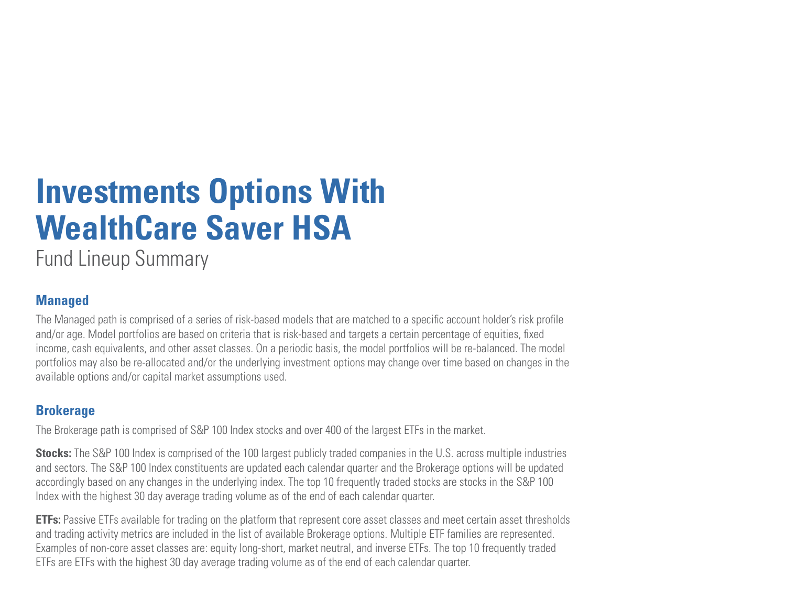## **Investments Options With WealthCare Saver HSA**

Fund Lineup Summary

## **Managed**

The Managed path is comprised of a series of risk-based models that are matched to a specific account holder's risk profile and/or age. Model portfolios are based on criteria that is risk-based and targets a certain percentage of equities, fixed income, cash equivalents, and other asset classes. On a periodic basis, the model portfolios will be re-balanced. The model portfolios may also be re-allocated and/or the underlying investment options may change over time based on changes in the available options and/or capital market assumptions used.

## **Brokerage**

The Brokerage path is comprised of S&P 100 Index stocks and over 400 of the largest ETFs in the market.

**Stocks:** The S&P 100 Index is comprised of the 100 largest publicly traded companies in the U.S. across multiple industries and sectors. The S&P 100 Index constituents are updated each calendar quarter and the Brokerage options will be updated accordingly based on any changes in the underlying index. The top 10 frequently traded stocks are stocks in the S&P 100 Index with the highest 30 day average trading volume as of the end of each calendar quarter.

**ETFs:** Passive ETFs available for trading on the platform that represent core asset classes and meet certain asset thresholds and trading activity metrics are included in the list of available Brokerage options. Multiple ETF families are represented. Examples of non-core asset classes are: equity long-short, market neutral, and inverse ETFs. The top 10 frequently traded ETFs are ETFs with the highest 30 day average trading volume as of the end of each calendar quarter.